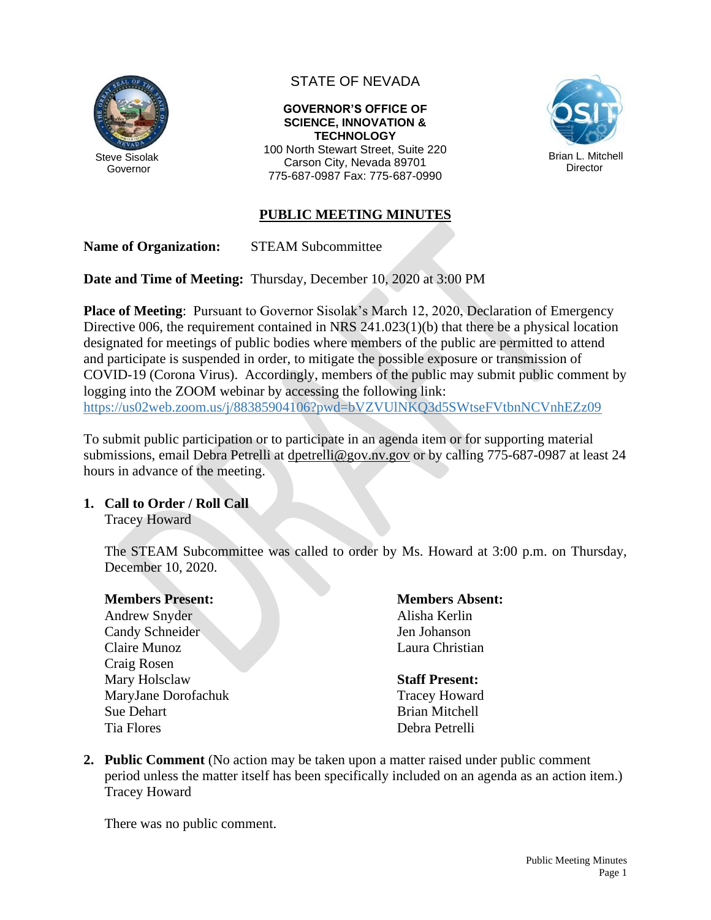

# STATE OF NEVADA

### **GOVERNOR'S OFFICE OF SCIENCE, INNOVATION & TECHNOLOGY**

100 North Stewart Street, Suite 220 Carson City, Nevada 89701 775-687-0987 Fax: 775-687-0990



## **PUBLIC MEETING MINUTES**

**Name of Organization:** STEAM Subcommittee

**Date and Time of Meeting:** Thursday, December 10, 2020 at 3:00 PM

**Place of Meeting**: Pursuant to Governor Sisolak's March 12, 2020, Declaration of Emergency Directive 006, the requirement contained in NRS 241.023(1)(b) that there be a physical location designated for meetings of public bodies where members of the public are permitted to attend and participate is suspended in order, to mitigate the possible exposure or transmission of COVID-19 (Corona Virus). Accordingly, members of the public may submit public comment by logging into the ZOOM webinar by accessing the following link: <https://us02web.zoom.us/j/88385904106?pwd=bVZVUlNKQ3d5SWtseFVtbnNCVnhEZz09>

To submit public participation or to participate in an agenda item or for supporting material submissions, email Debra Petrelli at [dpetrelli@gov.nv.gov](mailto:dpetrelli@gov.nv.gov) or by calling 775-687-0987 at least 24 hours in advance of the meeting.

## **1. Call to Order / Roll Call**

Tracey Howard

The STEAM Subcommittee was called to order by Ms. Howard at 3:00 p.m. on Thursday, December 10, 2020.

### **Members Present:**

Andrew Snyder Candy Schneider Claire Munoz Craig Rosen Mary Holsclaw MaryJane Dorofachuk Sue Dehart Tia Flores

**Members Absent:** Alisha Kerlin Jen Johanson Laura Christian

### **Staff Present:**

Tracey Howard Brian Mitchell Debra Petrelli

**2. Public Comment** (No action may be taken upon a matter raised under public comment period unless the matter itself has been specifically included on an agenda as an action item.) Tracey Howard

There was no public comment.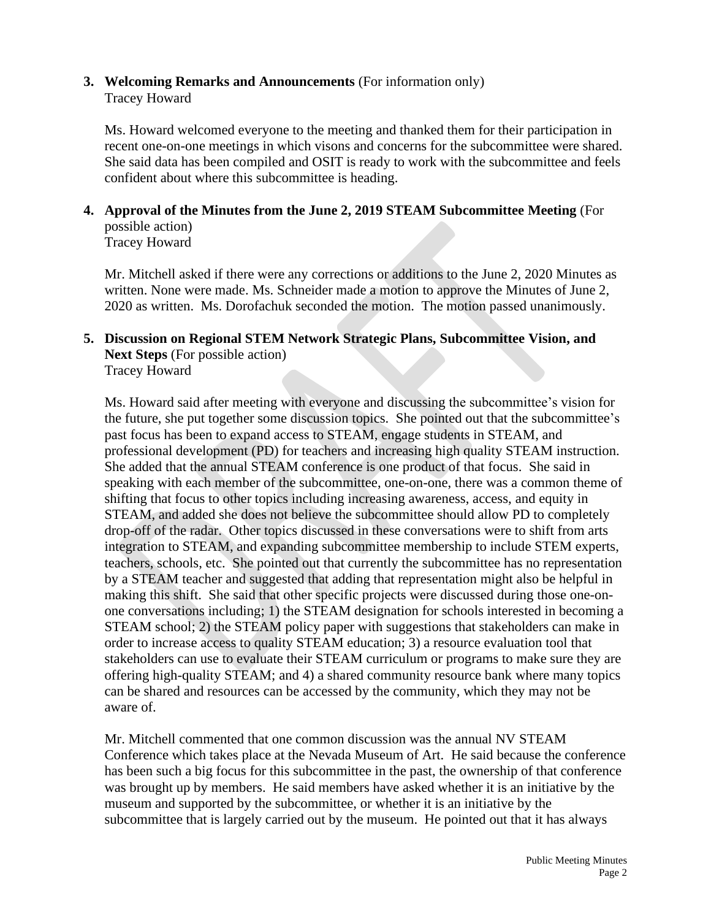## **3. Welcoming Remarks and Announcements** (For information only) Tracey Howard

Ms. Howard welcomed everyone to the meeting and thanked them for their participation in recent one-on-one meetings in which visons and concerns for the subcommittee were shared. She said data has been compiled and OSIT is ready to work with the subcommittee and feels confident about where this subcommittee is heading.

# **4. Approval of the Minutes from the June 2, 2019 STEAM Subcommittee Meeting** (For possible action)

Tracey Howard

Mr. Mitchell asked if there were any corrections or additions to the June 2, 2020 Minutes as written. None were made. Ms. Schneider made a motion to approve the Minutes of June 2, 2020 as written. Ms. Dorofachuk seconded the motion. The motion passed unanimously.

### **5. Discussion on Regional STEM Network Strategic Plans, Subcommittee Vision, and Next Steps** (For possible action) Tracey Howard

Ms. Howard said after meeting with everyone and discussing the subcommittee's vision for the future, she put together some discussion topics. She pointed out that the subcommittee's past focus has been to expand access to STEAM, engage students in STEAM, and professional development (PD) for teachers and increasing high quality STEAM instruction. She added that the annual STEAM conference is one product of that focus. She said in speaking with each member of the subcommittee, one-on-one, there was a common theme of shifting that focus to other topics including increasing awareness, access, and equity in STEAM, and added she does not believe the subcommittee should allow PD to completely drop-off of the radar. Other topics discussed in these conversations were to shift from arts integration to STEAM, and expanding subcommittee membership to include STEM experts, teachers, schools, etc. She pointed out that currently the subcommittee has no representation by a STEAM teacher and suggested that adding that representation might also be helpful in making this shift. She said that other specific projects were discussed during those one-onone conversations including; 1) the STEAM designation for schools interested in becoming a STEAM school; 2) the STEAM policy paper with suggestions that stakeholders can make in order to increase access to quality STEAM education; 3) a resource evaluation tool that stakeholders can use to evaluate their STEAM curriculum or programs to make sure they are offering high-quality STEAM; and 4) a shared community resource bank where many topics can be shared and resources can be accessed by the community, which they may not be aware of.

Mr. Mitchell commented that one common discussion was the annual NV STEAM Conference which takes place at the Nevada Museum of Art. He said because the conference has been such a big focus for this subcommittee in the past, the ownership of that conference was brought up by members. He said members have asked whether it is an initiative by the museum and supported by the subcommittee, or whether it is an initiative by the subcommittee that is largely carried out by the museum. He pointed out that it has always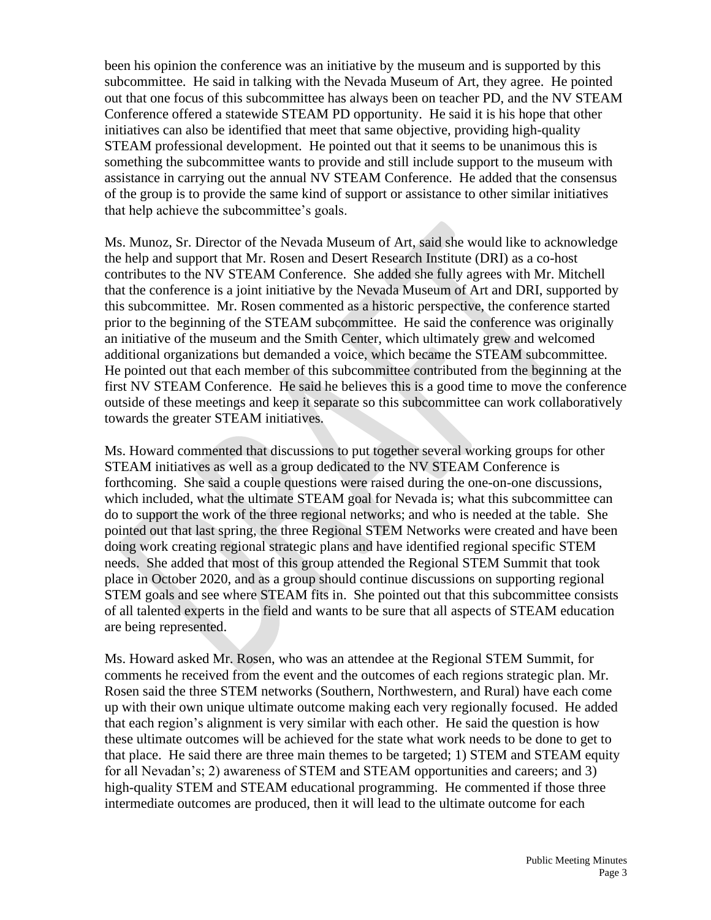been his opinion the conference was an initiative by the museum and is supported by this subcommittee. He said in talking with the Nevada Museum of Art, they agree. He pointed out that one focus of this subcommittee has always been on teacher PD, and the NV STEAM Conference offered a statewide STEAM PD opportunity. He said it is his hope that other initiatives can also be identified that meet that same objective, providing high-quality STEAM professional development. He pointed out that it seems to be unanimous this is something the subcommittee wants to provide and still include support to the museum with assistance in carrying out the annual NV STEAM Conference. He added that the consensus of the group is to provide the same kind of support or assistance to other similar initiatives that help achieve the subcommittee's goals.

Ms. Munoz, Sr. Director of the Nevada Museum of Art, said she would like to acknowledge the help and support that Mr. Rosen and Desert Research Institute (DRI) as a co-host contributes to the NV STEAM Conference. She added she fully agrees with Mr. Mitchell that the conference is a joint initiative by the Nevada Museum of Art and DRI, supported by this subcommittee. Mr. Rosen commented as a historic perspective, the conference started prior to the beginning of the STEAM subcommittee. He said the conference was originally an initiative of the museum and the Smith Center, which ultimately grew and welcomed additional organizations but demanded a voice, which became the STEAM subcommittee. He pointed out that each member of this subcommittee contributed from the beginning at the first NV STEAM Conference. He said he believes this is a good time to move the conference outside of these meetings and keep it separate so this subcommittee can work collaboratively towards the greater STEAM initiatives.

Ms. Howard commented that discussions to put together several working groups for other STEAM initiatives as well as a group dedicated to the NV STEAM Conference is forthcoming. She said a couple questions were raised during the one-on-one discussions, which included, what the ultimate STEAM goal for Nevada is; what this subcommittee can do to support the work of the three regional networks; and who is needed at the table. She pointed out that last spring, the three Regional STEM Networks were created and have been doing work creating regional strategic plans and have identified regional specific STEM needs. She added that most of this group attended the Regional STEM Summit that took place in October 2020, and as a group should continue discussions on supporting regional STEM goals and see where STEAM fits in. She pointed out that this subcommittee consists of all talented experts in the field and wants to be sure that all aspects of STEAM education are being represented.

Ms. Howard asked Mr. Rosen, who was an attendee at the Regional STEM Summit, for comments he received from the event and the outcomes of each regions strategic plan. Mr. Rosen said the three STEM networks (Southern, Northwestern, and Rural) have each come up with their own unique ultimate outcome making each very regionally focused. He added that each region's alignment is very similar with each other. He said the question is how these ultimate outcomes will be achieved for the state what work needs to be done to get to that place. He said there are three main themes to be targeted; 1) STEM and STEAM equity for all Nevadan's; 2) awareness of STEM and STEAM opportunities and careers; and 3) high-quality STEM and STEAM educational programming. He commented if those three intermediate outcomes are produced, then it will lead to the ultimate outcome for each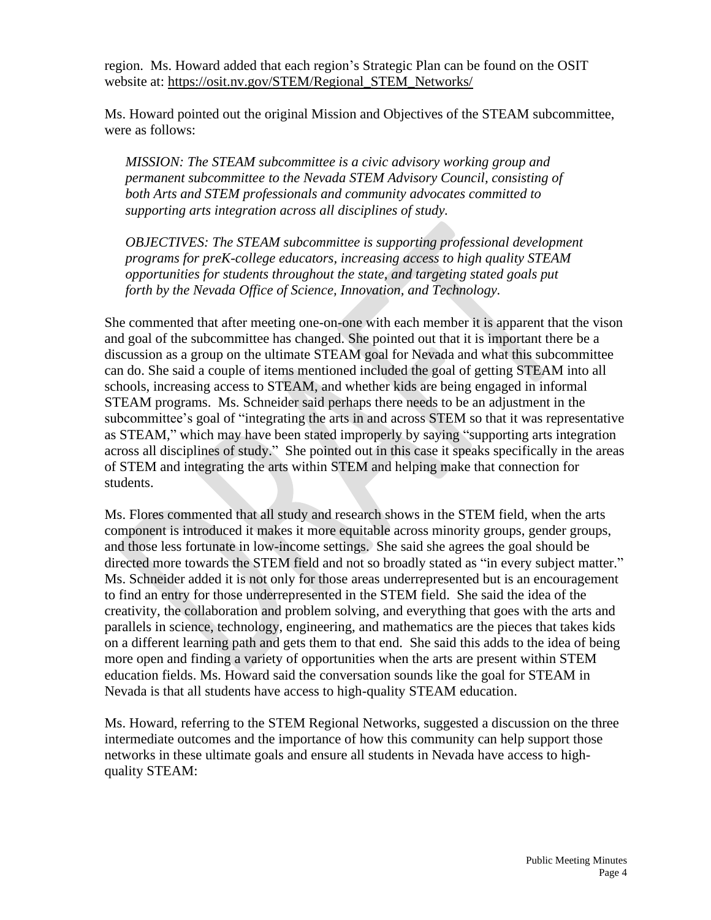region. Ms. Howard added that each region's Strategic Plan can be found on the OSIT website at: [https://osit.nv.gov/STEM/Regional\\_STEM\\_Networks/](https://osit.nv.gov/STEM/Regional_STEM_Networks/)

Ms. Howard pointed out the original Mission and Objectives of the STEAM subcommittee, were as follows:

*MISSION: The STEAM subcommittee is a civic advisory working group and permanent subcommittee to the Nevada STEM Advisory Council, consisting of both Arts and STEM professionals and community advocates committed to supporting arts integration across all disciplines of study.*

*OBJECTIVES: The STEAM subcommittee is supporting professional development programs for preK-college educators, increasing access to high quality STEAM opportunities for students throughout the state, and targeting stated goals put forth by the Nevada Office of Science, Innovation, and Technology.*

She commented that after meeting one-on-one with each member it is apparent that the vison and goal of the subcommittee has changed. She pointed out that it is important there be a discussion as a group on the ultimate STEAM goal for Nevada and what this subcommittee can do. She said a couple of items mentioned included the goal of getting STEAM into all schools, increasing access to STEAM, and whether kids are being engaged in informal STEAM programs. Ms. Schneider said perhaps there needs to be an adjustment in the subcommittee's goal of "integrating the arts in and across STEM so that it was representative as STEAM," which may have been stated improperly by saying "supporting arts integration across all disciplines of study." She pointed out in this case it speaks specifically in the areas of STEM and integrating the arts within STEM and helping make that connection for students.

Ms. Flores commented that all study and research shows in the STEM field, when the arts component is introduced it makes it more equitable across minority groups, gender groups, and those less fortunate in low-income settings. She said she agrees the goal should be directed more towards the STEM field and not so broadly stated as "in every subject matter." Ms. Schneider added it is not only for those areas underrepresented but is an encouragement to find an entry for those underrepresented in the STEM field. She said the idea of the creativity, the collaboration and problem solving, and everything that goes with the arts and parallels in science, technology, engineering, and mathematics are the pieces that takes kids on a different learning path and gets them to that end. She said this adds to the idea of being more open and finding a variety of opportunities when the arts are present within STEM education fields. Ms. Howard said the conversation sounds like the goal for STEAM in Nevada is that all students have access to high-quality STEAM education.

Ms. Howard, referring to the STEM Regional Networks, suggested a discussion on the three intermediate outcomes and the importance of how this community can help support those networks in these ultimate goals and ensure all students in Nevada have access to highquality STEAM: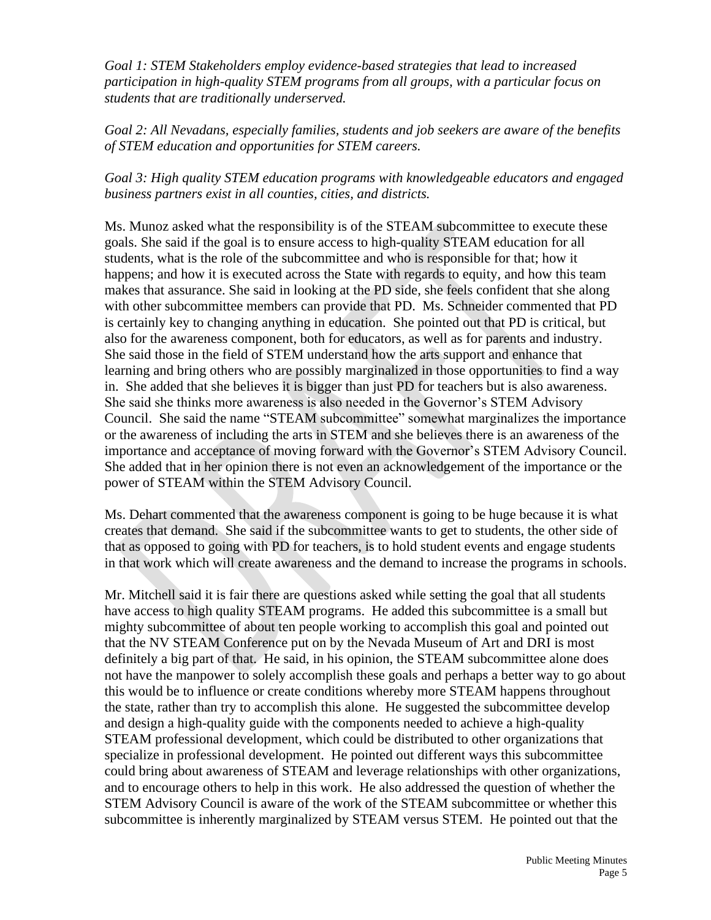*Goal 1: STEM Stakeholders employ evidence-based strategies that lead to increased participation in high-quality STEM programs from all groups, with a particular focus on students that are traditionally underserved.*

*Goal 2: All Nevadans, especially families, students and job seekers are aware of the benefits of STEM education and opportunities for STEM careers.*

## *Goal 3: High quality STEM education programs with knowledgeable educators and engaged business partners exist in all counties, cities, and districts.*

Ms. Munoz asked what the responsibility is of the STEAM subcommittee to execute these goals. She said if the goal is to ensure access to high-quality STEAM education for all students, what is the role of the subcommittee and who is responsible for that; how it happens; and how it is executed across the State with regards to equity, and how this team makes that assurance. She said in looking at the PD side, she feels confident that she along with other subcommittee members can provide that PD. Ms. Schneider commented that PD is certainly key to changing anything in education. She pointed out that PD is critical, but also for the awareness component, both for educators, as well as for parents and industry. She said those in the field of STEM understand how the arts support and enhance that learning and bring others who are possibly marginalized in those opportunities to find a way in. She added that she believes it is bigger than just PD for teachers but is also awareness. She said she thinks more awareness is also needed in the Governor's STEM Advisory Council. She said the name "STEAM subcommittee" somewhat marginalizes the importance or the awareness of including the arts in STEM and she believes there is an awareness of the importance and acceptance of moving forward with the Governor's STEM Advisory Council. She added that in her opinion there is not even an acknowledgement of the importance or the power of STEAM within the STEM Advisory Council.

Ms. Dehart commented that the awareness component is going to be huge because it is what creates that demand. She said if the subcommittee wants to get to students, the other side of that as opposed to going with PD for teachers, is to hold student events and engage students in that work which will create awareness and the demand to increase the programs in schools.

Mr. Mitchell said it is fair there are questions asked while setting the goal that all students have access to high quality STEAM programs. He added this subcommittee is a small but mighty subcommittee of about ten people working to accomplish this goal and pointed out that the NV STEAM Conference put on by the Nevada Museum of Art and DRI is most definitely a big part of that. He said, in his opinion, the STEAM subcommittee alone does not have the manpower to solely accomplish these goals and perhaps a better way to go about this would be to influence or create conditions whereby more STEAM happens throughout the state, rather than try to accomplish this alone. He suggested the subcommittee develop and design a high-quality guide with the components needed to achieve a high-quality STEAM professional development, which could be distributed to other organizations that specialize in professional development. He pointed out different ways this subcommittee could bring about awareness of STEAM and leverage relationships with other organizations, and to encourage others to help in this work. He also addressed the question of whether the STEM Advisory Council is aware of the work of the STEAM subcommittee or whether this subcommittee is inherently marginalized by STEAM versus STEM. He pointed out that the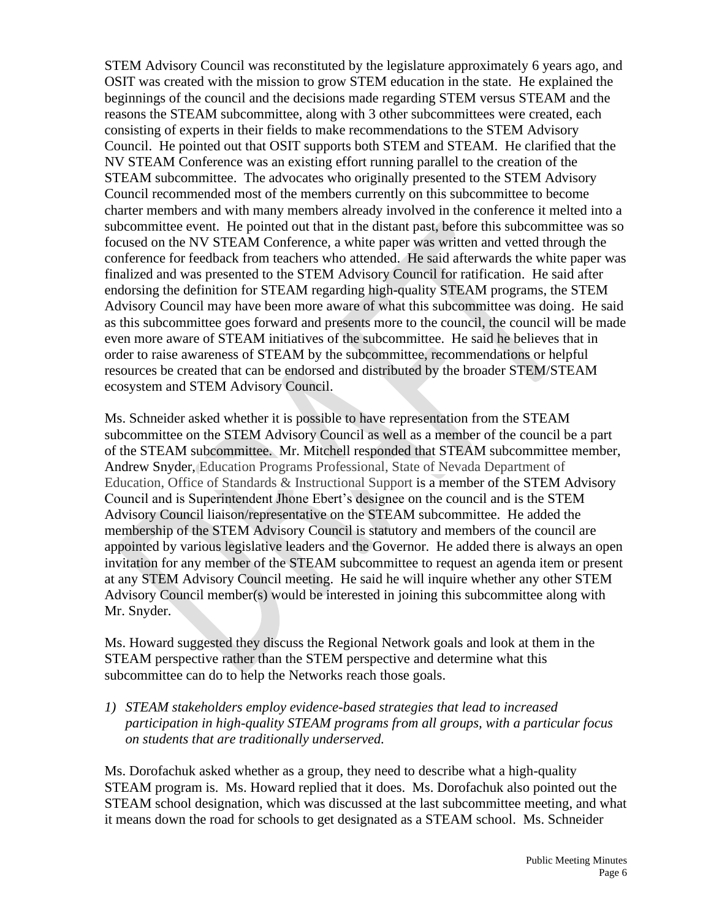STEM Advisory Council was reconstituted by the legislature approximately 6 years ago, and OSIT was created with the mission to grow STEM education in the state. He explained the beginnings of the council and the decisions made regarding STEM versus STEAM and the reasons the STEAM subcommittee, along with 3 other subcommittees were created, each consisting of experts in their fields to make recommendations to the STEM Advisory Council. He pointed out that OSIT supports both STEM and STEAM. He clarified that the NV STEAM Conference was an existing effort running parallel to the creation of the STEAM subcommittee. The advocates who originally presented to the STEM Advisory Council recommended most of the members currently on this subcommittee to become charter members and with many members already involved in the conference it melted into a subcommittee event. He pointed out that in the distant past, before this subcommittee was so focused on the NV STEAM Conference, a white paper was written and vetted through the conference for feedback from teachers who attended. He said afterwards the white paper was finalized and was presented to the STEM Advisory Council for ratification. He said after endorsing the definition for STEAM regarding high-quality STEAM programs, the STEM Advisory Council may have been more aware of what this subcommittee was doing. He said as this subcommittee goes forward and presents more to the council, the council will be made even more aware of STEAM initiatives of the subcommittee. He said he believes that in order to raise awareness of STEAM by the subcommittee, recommendations or helpful resources be created that can be endorsed and distributed by the broader STEM/STEAM ecosystem and STEM Advisory Council.

Ms. Schneider asked whether it is possible to have representation from the STEAM subcommittee on the STEM Advisory Council as well as a member of the council be a part of the STEAM subcommittee. Mr. Mitchell responded that STEAM subcommittee member, Andrew Snyder, Education Programs Professional, State of Nevada Department of Education, Office of Standards & Instructional Support is a member of the STEM Advisory Council and is Superintendent Jhone Ebert's designee on the council and is the STEM Advisory Council liaison/representative on the STEAM subcommittee. He added the membership of the STEM Advisory Council is statutory and members of the council are appointed by various legislative leaders and the Governor. He added there is always an open invitation for any member of the STEAM subcommittee to request an agenda item or present at any STEM Advisory Council meeting. He said he will inquire whether any other STEM Advisory Council member(s) would be interested in joining this subcommittee along with Mr. Snyder.

Ms. Howard suggested they discuss the Regional Network goals and look at them in the STEAM perspective rather than the STEM perspective and determine what this subcommittee can do to help the Networks reach those goals.

*1) STEAM stakeholders employ evidence-based strategies that lead to increased participation in high-quality STEAM programs from all groups, with a particular focus on students that are traditionally underserved.*

Ms. Dorofachuk asked whether as a group, they need to describe what a high-quality STEAM program is. Ms. Howard replied that it does. Ms. Dorofachuk also pointed out the STEAM school designation, which was discussed at the last subcommittee meeting, and what it means down the road for schools to get designated as a STEAM school. Ms. Schneider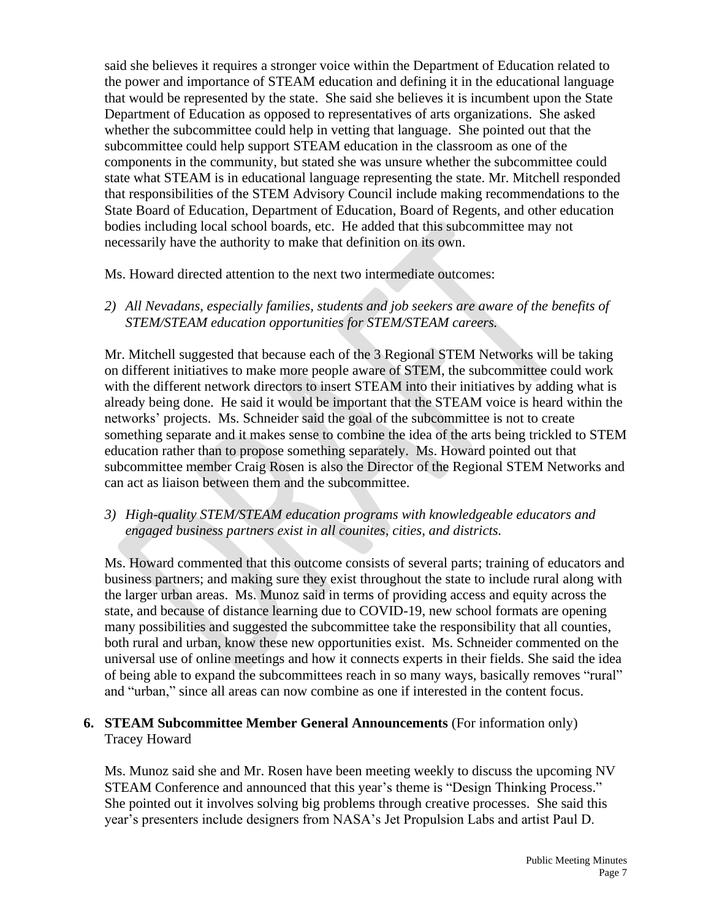said she believes it requires a stronger voice within the Department of Education related to the power and importance of STEAM education and defining it in the educational language that would be represented by the state. She said she believes it is incumbent upon the State Department of Education as opposed to representatives of arts organizations. She asked whether the subcommittee could help in vetting that language. She pointed out that the subcommittee could help support STEAM education in the classroom as one of the components in the community, but stated she was unsure whether the subcommittee could state what STEAM is in educational language representing the state. Mr. Mitchell responded that responsibilities of the STEM Advisory Council include making recommendations to the State Board of Education, Department of Education, Board of Regents, and other education bodies including local school boards, etc. He added that this subcommittee may not necessarily have the authority to make that definition on its own.

Ms. Howard directed attention to the next two intermediate outcomes:

*2) All Nevadans, especially families, students and job seekers are aware of the benefits of STEM/STEAM education opportunities for STEM/STEAM careers.*

Mr. Mitchell suggested that because each of the 3 Regional STEM Networks will be taking on different initiatives to make more people aware of STEM, the subcommittee could work with the different network directors to insert STEAM into their initiatives by adding what is already being done. He said it would be important that the STEAM voice is heard within the networks' projects. Ms. Schneider said the goal of the subcommittee is not to create something separate and it makes sense to combine the idea of the arts being trickled to STEM education rather than to propose something separately. Ms. Howard pointed out that subcommittee member Craig Rosen is also the Director of the Regional STEM Networks and can act as liaison between them and the subcommittee.

*3) High-quality STEM/STEAM education programs with knowledgeable educators and engaged business partners exist in all counites, cities, and districts.*

Ms. Howard commented that this outcome consists of several parts; training of educators and business partners; and making sure they exist throughout the state to include rural along with the larger urban areas. Ms. Munoz said in terms of providing access and equity across the state, and because of distance learning due to COVID-19, new school formats are opening many possibilities and suggested the subcommittee take the responsibility that all counties, both rural and urban, know these new opportunities exist. Ms. Schneider commented on the universal use of online meetings and how it connects experts in their fields. She said the idea of being able to expand the subcommittees reach in so many ways, basically removes "rural" and "urban," since all areas can now combine as one if interested in the content focus.

## **6. STEAM Subcommittee Member General Announcements** (For information only) Tracey Howard

Ms. Munoz said she and Mr. Rosen have been meeting weekly to discuss the upcoming NV STEAM Conference and announced that this year's theme is "Design Thinking Process." She pointed out it involves solving big problems through creative processes. She said this year's presenters include designers from NASA's Jet Propulsion Labs and artist Paul D.